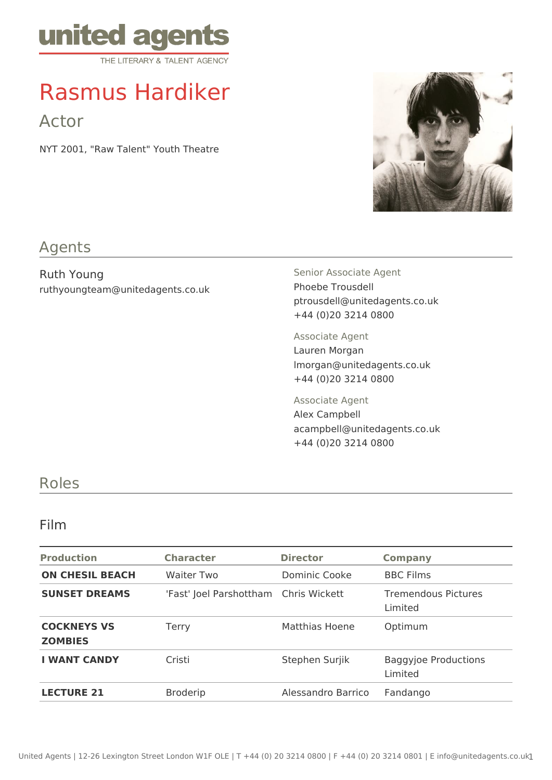

# Rasmus Hardiker

Actor

NYT 2001, "Raw Talent" Youth Theatre



## Agents

Ruth Young ruthyoungteam@unitedagents.co.uk Senior Associate Agent Phoebe Trousdell ptrousdell@unitedagents.co.uk +44 (0)20 3214 0800

Associate Agent Lauren Morgan lmorgan@unitedagents.co.uk +44 (0)20 3214 0800

Associate Agent Alex Campbell acampbell@unitedagents.co.uk +44 (0)20 3214 0800

## Roles

#### Film

| <b>Production</b>                    | <b>Character</b>                      | <b>Director</b>    | <b>Company</b>                         |
|--------------------------------------|---------------------------------------|--------------------|----------------------------------------|
| <b>ON CHESIL BEACH</b>               | <b>Waiter Two</b>                     | Dominic Cooke      | <b>BBC Films</b>                       |
| <b>SUNSET DREAMS</b>                 | 'Fast' Joel Parshottham Chris Wickett |                    | <b>Tremendous Pictures</b><br>Limited  |
| <b>COCKNEYS VS</b><br><b>ZOMBIES</b> | Terry                                 | Matthias Hoene     | Optimum                                |
| <b>I WANT CANDY</b>                  | Cristi                                | Stephen Surjik     | <b>Baggyjoe Productions</b><br>Limited |
| <b>LECTURE 21</b>                    | <b>Broderip</b>                       | Alessandro Barrico | Fandango                               |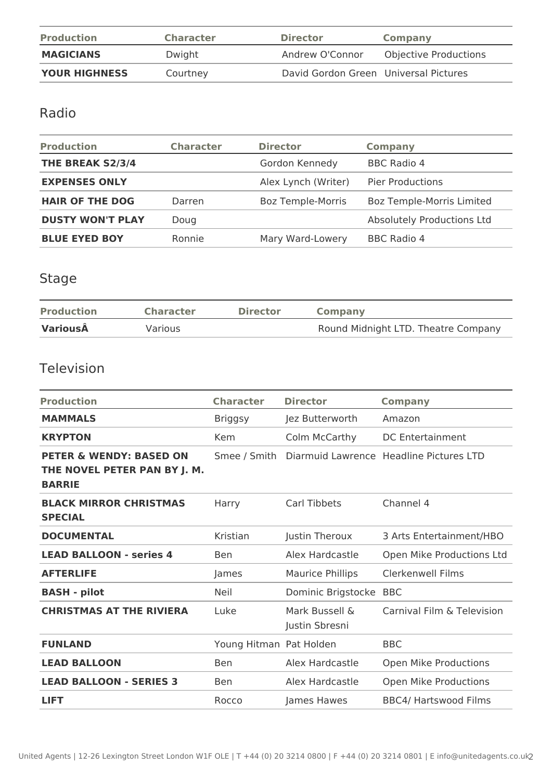| <b>Production</b>    | <b>Character</b> | <b>Director</b>                       | <b>Company</b>               |
|----------------------|------------------|---------------------------------------|------------------------------|
| <b>MAGICIANS</b>     | Dwight           | Andrew O'Connor                       | <b>Objective Productions</b> |
| <b>YOUR HIGHNESS</b> | Courtney         | David Gordon Green Universal Pictures |                              |

# Radio

| <b>Production</b>       | <b>Character</b> | <b>Director</b>          | <b>Company</b>                   |
|-------------------------|------------------|--------------------------|----------------------------------|
| THE BREAK S2/3/4        |                  | Gordon Kennedy           | <b>BBC Radio 4</b>               |
| <b>EXPENSES ONLY</b>    |                  | Alex Lynch (Writer)      | <b>Pier Productions</b>          |
| <b>HAIR OF THE DOG</b>  | Darren           | <b>Boz Temple-Morris</b> | <b>Boz Temple-Morris Limited</b> |
| <b>DUSTY WON'T PLAY</b> | Doug             |                          | Absolutely Productions Ltd       |
| <b>BLUE EYED BOY</b>    | Ronnie           | Mary Ward-Lowery         | <b>BBC Radio 4</b>               |

# Stage

| <b>Production</b> | <b>Character</b> | <b>Director</b> | Company                             |
|-------------------|------------------|-----------------|-------------------------------------|
| VariousÂ          | Various          |                 | Round Midnight LTD. Theatre Company |

### Television

| <b>Production</b>                                                                   | <b>Character</b>        | <b>Director</b>                  | <b>Company</b>                          |
|-------------------------------------------------------------------------------------|-------------------------|----------------------------------|-----------------------------------------|
| <b>MAMMALS</b>                                                                      | <b>Briggsy</b>          | Jez Butterworth                  | Amazon                                  |
| <b>KRYPTON</b>                                                                      | <b>Kem</b>              | Colm McCarthy                    | <b>DC Entertainment</b>                 |
| <b>PETER &amp; WENDY: BASED ON</b><br>THE NOVEL PETER PAN BY J. M.<br><b>BARRIE</b> | Smee / Smith            |                                  | Diarmuid Lawrence Headline Pictures LTD |
| <b>BLACK MIRROR CHRISTMAS</b><br><b>SPECIAL</b>                                     | Harry                   | <b>Carl Tibbets</b>              | Channel 4                               |
| <b>DOCUMENTAL</b>                                                                   | Kristian                | Justin Theroux                   | 3 Arts Entertainment/HBO                |
| <b>LEAD BALLOON - series 4</b>                                                      | <b>Ben</b>              | Alex Hardcastle                  | Open Mike Productions Ltd               |
| <b>AFTERLIFE</b>                                                                    | James                   | <b>Maurice Phillips</b>          | Clerkenwell Films                       |
| <b>BASH - pilot</b>                                                                 | <b>Neil</b>             | Dominic Brigstocke               | <b>BBC</b>                              |
| <b>CHRISTMAS AT THE RIVIERA</b>                                                     | Luke                    | Mark Bussell &<br>Justin Sbresni | Carnival Film & Television              |
| <b>FUNLAND</b>                                                                      | Young Hitman Pat Holden |                                  | <b>BBC</b>                              |
| <b>LEAD BALLOON</b>                                                                 | <b>Ben</b>              | Alex Hardcastle                  | Open Mike Productions                   |
| <b>LEAD BALLOON - SERIES 3</b>                                                      | <b>Ben</b>              | Alex Hardcastle                  | Open Mike Productions                   |
| <b>LIFT</b>                                                                         | Rocco                   | James Hawes                      | <b>BBC4/ Hartswood Films</b>            |